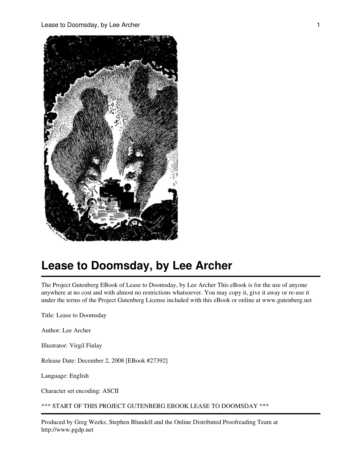

The Project Gutenberg EBook of Lease to Doomsday, by Lee Archer This eBook is for the use of anyone anywhere at no cost and with almost no restrictions whatsoever. You may copy it, give it away or re-use it under the terms of the Project Gutenberg License included with this eBook or online at www.gutenberg.net

Title: Lease to Doomsday

Author: Lee Archer

Illustrator: Virgil Finlay

Release Date: December 2, 2008 [EBook #27392]

Language: English

Character set encoding: ASCII

\*\*\* START OF THIS PROJECT GUTENBERG EBOOK LEASE TO DOOMSDAY \*\*\*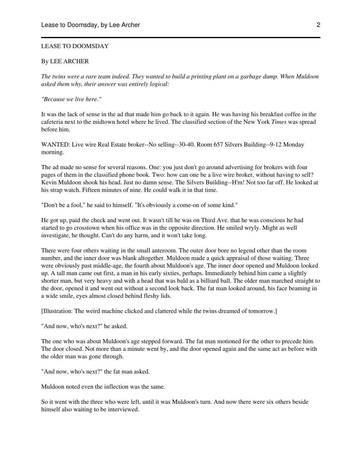#### LEASE TO DOOMSDAY

#### By LEE ARCHER

*The twins were a rare team indeed. They wanted to build a printing plant on a garbage dump. When Muldoon asked them why, their answer was entirely logical:*

*"Because we live here."*

It was the lack of sense in the ad that made him go back to it again. He was having his breakfast coffee in the cafeteria next to the midtown hotel where he lived. The classified section of the New York *Times* was spread before him.

WANTED: Live wire Real Estate broker--No selling--30-40. Room 657 Silvers Building--9-12 Monday morning.

The ad made no sense for several reasons. One: you just don't go around advertising for brokers with four pages of them in the classified phone book. Two: how can one be a live wire broker, without having to sell? Kevin Muldoon shook his head. Just no damn sense. The Silvers Building--H'm! Not too far off. He looked at his strap watch. Fifteen minutes of nine. He could walk it in that time.

"Don't be a fool," he said to himself. "It's obviously a come-on of some kind."

He got up, paid the check and went out. It wasn't till he was on Third Ave. that he was conscious he had started to go crosstown when his office was in the opposite direction. He smiled wryly. Might as well investigate, he thought. Can't do any harm, and it won't take long.

There were four others waiting in the small anteroom. The outer door bore no legend other than the room number, and the inner door was blank altogether. Muldoon made a quick appraisal of those waiting. Three were obviously past middle-age, the fourth about Muldoon's age. The inner door opened and Muldoon looked up. A tall man came out first, a man in his early sixties, perhaps. Immediately behind him came a slightly shorter man, but very heavy and with a head that was bald as a billiard ball. The older man marched straight to the door, opened it and went out without a second look back. The fat man looked around, his face beaming in a wide smile, eyes almost closed behind fleshy lids.

[Illustration: The weird machine clicked and clattered while the twins dreamed of tomorrow.]

"And now, who's next?" he asked.

The one who was about Muldoon's age stepped forward. The fat man motioned for the other to precede him. The door closed. Not more than a minute went by, and the door opened again and the same act as before with the older man was gone through.

"And now, who's next?" the fat man asked.

Muldoon noted even the inflection was the same.

So it went with the three who were left, until it was Muldoon's turn. And now there were six others beside himself also waiting to be interviewed.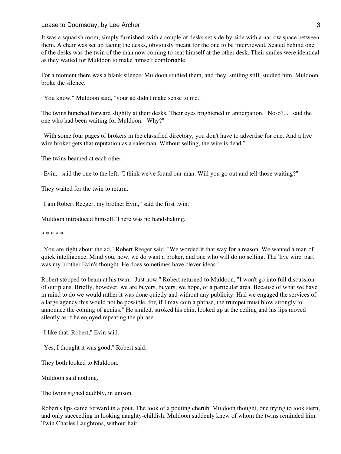It was a squarish room, simply furnished, with a couple of desks set side-by-side with a narrow space between them. A chair was set up facing the desks, obviously meant for the one to be interviewed. Seated behind one of the desks was the twin of the man now coming to seat himself at the other desk. Their smiles were identical as they waited for Muldoon to make himself comfortable.

For a moment there was a blank silence. Muldoon studied them, and they, smiling still, studied him. Muldoon broke the silence.

"You know," Muldoon said, "your ad didn't make sense to me."

The twins hunched forward slightly at their desks. Their eyes brightened in anticipation. "No-o?..." said the one who had been waiting for Muldoon. "Why?"

"With some four pages of brokers in the classified directory, you don't have to advertise for one. And a live wire broker gets that reputation as a salesman. Without selling, the wire is dead."

The twins beamed at each other.

"Evin," said the one to the left, "I think we've found our man. Will you go out and tell those waiting?"

They waited for the twin to return.

"I am Robert Reeger, my brother Evin," said the first twin.

Muldoon introduced himself. There was no handshaking.

\* \* \* \* \*

"You are right about the ad," Robert Reeger said. "We worded it that way for a reason. We wanted a man of quick intelligence. Mind you, now, we do want a broker, and one who will do no selling. The 'live wire' part was my brother Evin's thought. He does sometimes have clever ideas."

Robert stopped to beam at his twin. "Just now," Robert returned to Muldoon, "I won't go into full discussion of our plans. Briefly, however, we are buyers, buyers, we hope, of a particular area. Because of what we have in mind to do we would rather it was done quietly and without any publicity. Had we engaged the services of a large agency this would not be possible, for, if I may coin a phrase, the trumpet must blow strongly to announce the coming of genius." He smiled, stroked his chin, looked up at the ceiling and his lips moved silently as if he enjoyed repeating the phrase.

"I like that, Robert," Evin said.

"Yes, I thought it was good," Robert said.

They both looked to Muldoon.

Muldoon said nothing.

The twins sighed audibly, in unison.

Robert's lips came forward in a pout. The look of a pouting cherub, Muldoon thought, one trying to look stern, and only succeeding in looking naughty-childish. Muldoon suddenly knew of whom the twins reminded him. Twin Charles Laughtons, without hair.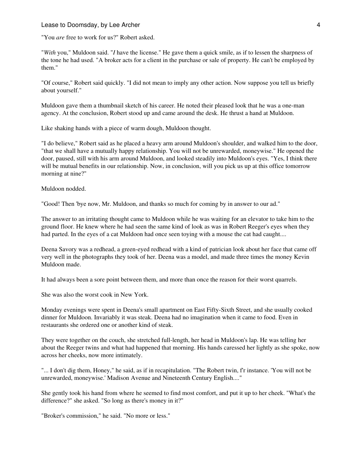"You *are* free to work for us?" Robert asked.

"*With* you," Muldoon said. "*I* have the license." He gave them a quick smile, as if to lessen the sharpness of the tone he had used. "A broker acts for a client in the purchase or sale of property. He can't be employed by them."

"Of course," Robert said quickly. "I did not mean to imply any other action. Now suppose you tell us briefly about yourself."

Muldoon gave them a thumbnail sketch of his career. He noted their pleased look that he was a one-man agency. At the conclusion, Robert stood up and came around the desk. He thrust a hand at Muldoon.

Like shaking hands with a piece of warm dough, Muldoon thought.

"I do believe," Robert said as he placed a heavy arm around Muldoon's shoulder, and walked him to the door, "that we shall have a mutually happy relationship. You will not be unrewarded, moneywise." He opened the door, paused, still with his arm around Muldoon, and looked steadily into Muldoon's eyes. "Yes, I think there will be mutual benefits in our relationship. Now, in conclusion, will you pick us up at this office tomorrow morning at nine?"

Muldoon nodded.

"Good! Then 'bye now, Mr. Muldoon, and thanks so much for coming by in answer to our ad."

The answer to an irritating thought came to Muldoon while he was waiting for an elevator to take him to the ground floor. He knew where he had seen the same kind of look as was in Robert Reeger's eyes when they had parted. In the eyes of a cat Muldoon had once seen toying with a mouse the cat had caught....

Deena Savory was a redhead, a green-eyed redhead with a kind of patrician look about her face that came off very well in the photographs they took of her. Deena was a model, and made three times the money Kevin Muldoon made.

It had always been a sore point between them, and more than once the reason for their worst quarrels.

She was also the worst cook in New York.

Monday evenings were spent in Deena's small apartment on East Fifty-Sixth Street, and she usually cooked dinner for Muldoon. Invariably it was steak. Deena had no imagination when it came to food. Even in restaurants she ordered one or another kind of steak.

They were together on the couch, she stretched full-length, her head in Muldoon's lap. He was telling her about the Reeger twins and what had happened that morning. His hands caressed her lightly as she spoke, now across her cheeks, now more intimately.

"... I don't dig them, Honey," he said, as if in recapitulation. "The Robert twin, f'r instance. 'You will not be unrewarded, moneywise.' Madison Avenue and Nineteenth Century English...."

She gently took his hand from where he seemed to find most comfort, and put it up to her cheek. "What's the difference?" she asked. "So long as there's money in it?"

"Broker's commission," he said. "No more or less."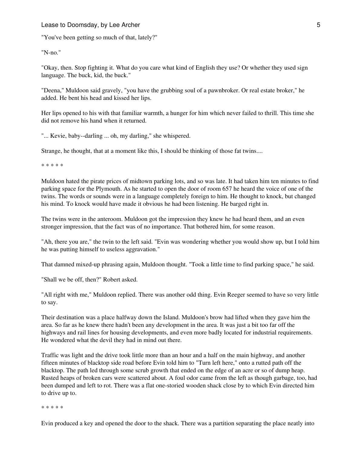#### Lease to Doomsday, by Lee Archer 5 and 1998 and 1999 and 1999 and 1999 and 1999 and 1999 and 1999 and 1999 and 1

"You've been getting so much of that, lately?"

"N-no."

"Okay, then. Stop fighting it. What do you care what kind of English they use? Or whether they used sign language. The buck, kid, the buck."

"Deena," Muldoon said gravely, "you have the grubbing soul of a pawnbroker. Or real estate broker," he added. He bent his head and kissed her lips.

Her lips opened to his with that familiar warmth, a hunger for him which never failed to thrill. This time she did not remove his hand when it returned.

"... Kevie, baby--darling ... oh, my darling," she whispered.

Strange, he thought, that at a moment like this, I should be thinking of those fat twins....

\* \* \* \* \*

Muldoon hated the pirate prices of midtown parking lots, and so was late. It had taken him ten minutes to find parking space for the Plymouth. As he started to open the door of room 657 he heard the voice of one of the twins. The words or sounds were in a language completely foreign to him. He thought to knock, but changed his mind. To knock would have made it obvious he had been listening. He barged right in.

The twins were in the anteroom. Muldoon got the impression they knew he had heard them, and an even stronger impression, that the fact was of no importance. That bothered him, for some reason.

"Ah, there you are," the twin to the left said. "Evin was wondering whether you would show up, but I told him he was putting himself to useless aggravation."

That damned mixed-up phrasing again, Muldoon thought. "Took a little time to find parking space," he said.

"Shall we be off, then?" Robert asked.

"All right with me," Muldoon replied. There was another odd thing. Evin Reeger seemed to have so very little to say.

Their destination was a place halfway down the Island. Muldoon's brow had lifted when they gave him the area. So far as he knew there hadn't been any development in the area. It was just a bit too far off the highways and rail lines for housing developments, and even more badly located for industrial requirements. He wondered what the devil they had in mind out there.

Traffic was light and the drive took little more than an hour and a half on the main highway, and another fifteen minutes of blacktop side road before Evin told him to "Turn left here," onto a rutted path off the blacktop. The path led through some scrub growth that ended on the edge of an acre or so of dump heap. Rusted heaps of broken cars were scattered about. A foul odor came from the left as though garbage, too, had been dumped and left to rot. There was a flat one-storied wooden shack close by to which Evin directed him to drive up to.

\* \* \* \* \*

Evin produced a key and opened the door to the shack. There was a partition separating the place neatly into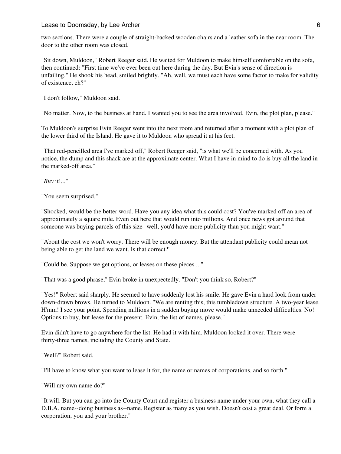#### Lease to Doomsday, by Lee Archer 6 and the state of the state of  $\sim$  6

two sections. There were a couple of straight-backed wooden chairs and a leather sofa in the near room. The door to the other room was closed.

"Sit down, Muldoon," Robert Reeger said. He waited for Muldoon to make himself comfortable on the sofa, then continued: "First time we've ever been out here during the day. But Evin's sense of direction is unfailing." He shook his head, smiled brightly. "Ah, well, we must each have some factor to make for validity of existence, eh?"

"I don't follow," Muldoon said.

"No matter. Now, to the business at hand. I wanted you to see the area involved. Evin, the plot plan, please."

To Muldoon's surprise Evin Reeger went into the next room and returned after a moment with a plot plan of the lower third of the Island. He gave it to Muldoon who spread it at his feet.

"That red-pencilled area I've marked off," Robert Reeger said, "is what we'll be concerned with. As you notice, the dump and this shack are at the approximate center. What I have in mind to do is buy all the land in the marked-off area."

"*Buy* it!..."

"You seem surprised."

"Shocked, would be the better word. Have you any idea what this could cost? You've marked off an area of approximately a square mile. Even out here that would run into millions. And once news got around that someone was buying parcels of this size--well, you'd have more publicity than you might want."

"About the cost we won't worry. There will be enough money. But the attendant publicity could mean not being able to get the land we want. Is that correct?"

"Could be. Suppose we get options, or leases on these pieces ..."

"That was a good phrase," Evin broke in unexpectedly. "Don't you think so, Robert?"

"Yes!" Robert said sharply. He seemed to have suddenly lost his smile. He gave Evin a hard look from under down-drawn brows. He turned to Muldoon. "We are renting this, this tumbledown structure. A two-year lease. H'mm! I see your point. Spending millions in a sudden buying move would make unneeded difficulties. No! Options to buy, but lease for the present. Evin, the list of names, please."

Evin didn't have to go anywhere for the list. He had it with him. Muldoon looked it over. There were thirty-three names, including the County and State.

"Well?" Robert said.

"I'll have to know what you want to lease it for, the name or names of corporations, and so forth."

"Will my own name do?"

"It will. But you can go into the County Court and register a business name under your own, what they call a D.B.A. name--doing business as--name. Register as many as you wish. Doesn't cost a great deal. Or form a corporation, you and your brother."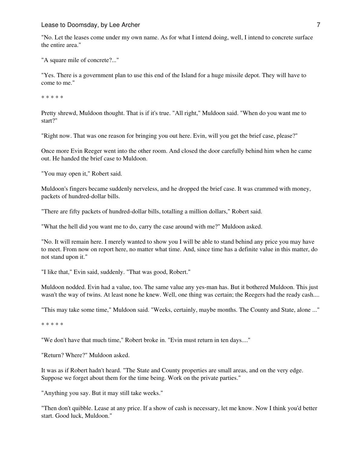#### Lease to Doomsday, by Lee Archer 7 and 200 million and 200 million and 200 million and 200 million 200 million

"No. Let the leases come under my own name. As for what I intend doing, well, I intend to concrete surface the entire area."

"A square mile of concrete?..."

"Yes. There is a government plan to use this end of the Island for a huge missile depot. They will have to come to me."

\* \* \* \* \*

Pretty shrewd, Muldoon thought. That is if it's true. "All right," Muldoon said. "When do you want me to start?"

"Right now. That was one reason for bringing you out here. Evin, will you get the brief case, please?"

Once more Evin Reeger went into the other room. And closed the door carefully behind him when he came out. He handed the brief case to Muldoon.

"You may open it," Robert said.

Muldoon's fingers became suddenly nerveless, and he dropped the brief case. It was crammed with money, packets of hundred-dollar bills.

"There are fifty packets of hundred-dollar bills, totalling a million dollars," Robert said.

"What the hell did you want me to do, carry the case around with me?" Muldoon asked.

"No. It will remain here. I merely wanted to show you I will be able to stand behind any price you may have to meet. From now on report here, no matter what time. And, since time has a definite value in this matter, do not stand upon it."

"I like that," Evin said, suddenly. "That was good, Robert."

Muldoon nodded. Evin had a value, too. The same value any yes-man has. But it bothered Muldoon. This just wasn't the way of twins. At least none he knew. Well, one thing was certain; the Reegers had the ready cash....

"This may take some time," Muldoon said. "Weeks, certainly, maybe months. The County and State, alone ..."

\* \* \* \* \*

"We don't have that much time," Robert broke in. "Evin must return in ten days...."

"Return? Where?" Muldoon asked.

It was as if Robert hadn't heard. "The State and County properties are small areas, and on the very edge. Suppose we forget about them for the time being. Work on the private parties."

"Anything you say. But it may still take weeks."

"Then don't quibble. Lease at any price. If a show of cash is necessary, let me know. Now I think you'd better start. Good luck, Muldoon."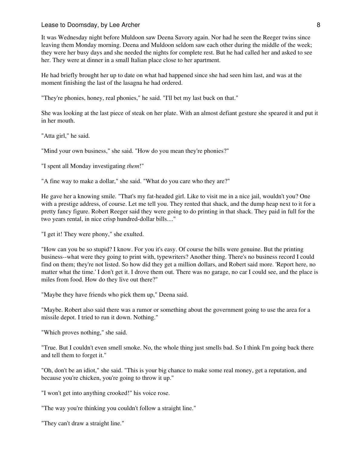#### Lease to Doomsday, by Lee Archer 8 and 10 and 10 and 10 and 10 and 10 and 10 and 10 and 10 and 10 and 10 and 1

It was Wednesday night before Muldoon saw Deena Savory again. Nor had he seen the Reeger twins since leaving them Monday morning. Deena and Muldoon seldom saw each other during the middle of the week; they were her busy days and she needed the nights for complete rest. But he had called her and asked to see her. They were at dinner in a small Italian place close to her apartment.

He had briefly brought her up to date on what had happened since she had seen him last, and was at the moment finishing the last of the lasagna he had ordered.

"They're phonies, honey, real phonies," he said. "I'll bet my last buck on that."

She was looking at the last piece of steak on her plate. With an almost defiant gesture she speared it and put it in her mouth.

"Atta girl," he said.

"Mind your own business," she said. "How do you mean they're phonies?"

"I spent all Monday investigating *them*!"

"A fine way to make a dollar," she said. "What do you care who they are?"

He gave her a knowing smile. "That's my fat-headed girl. Like to visit me in a nice jail, wouldn't you? One with a prestige address, of course. Let me tell you. They rented that shack, and the dump heap next to it for a pretty fancy figure. Robert Reeger said they were going to do printing in that shack. They paid in full for the two years rental, in nice crisp hundred-dollar bills...."

"I get it! They were phony," she exulted.

"How can you be so stupid? I know. For you it's easy. Of course the bills were genuine. But the printing business--what were they going to print with, typewriters? Another thing. There's no business record I could find on them; they're not listed. So how did they get a million dollars, and Robert said more. 'Report here, no matter what the time.' I don't get it. I drove them out. There was no garage, no car I could see, and the place is miles from food. How do they live out there?"

"Maybe they have friends who pick them up," Deena said.

"Maybe. Robert also said there was a rumor or something about the government going to use the area for a missile depot. I tried to run it down. Nothing."

"Which proves nothing," she said.

"True. But I couldn't even smell smoke. No, the whole thing just smells bad. So I think I'm going back there and tell them to forget it."

"Oh, don't be an idiot," she said. "This is your big chance to make some real money, get a reputation, and because you're chicken, you're going to throw it up."

"I won't get into anything crooked!" his voice rose.

"The way you're thinking you couldn't follow a straight line."

"They can't draw a straight line."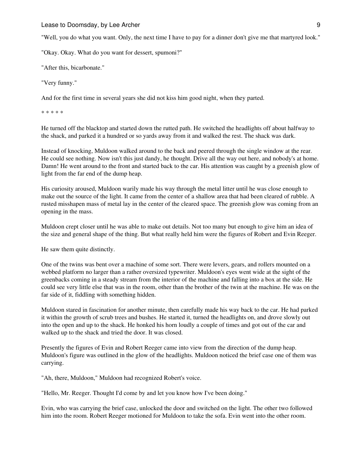Lease to Doomsday, by Lee Archer 9 and the state of the state of the state of the state of the state of the state of the state of the state of the state of the state of the state of the state of the state of the state of t

"Well, you do what you want. Only, the next time I have to pay for a dinner don't give me that martyred look."

"Okay. Okay. What do you want for dessert, spumoni?"

"After this, bicarbonate."

"Very funny."

And for the first time in several years she did not kiss him good night, when they parted.

\* \* \* \* \*

He turned off the blacktop and started down the rutted path. He switched the headlights off about halfway to the shack, and parked it a hundred or so yards away from it and walked the rest. The shack was dark.

Instead of knocking, Muldoon walked around to the back and peered through the single window at the rear. He could see nothing. Now isn't this just dandy, he thought. Drive all the way out here, and nobody's at home. Damn! He went around to the front and started back to the car. His attention was caught by a greenish glow of light from the far end of the dump heap.

His curiosity aroused, Muldoon warily made his way through the metal litter until he was close enough to make out the source of the light. It came from the center of a shallow area that had been cleared of rubble. A rusted misshapen mass of metal lay in the center of the cleared space. The greenish glow was coming from an opening in the mass.

Muldoon crept closer until he was able to make out details. Not too many but enough to give him an idea of the size and general shape of the thing. But what really held him were the figures of Robert and Evin Reeger.

He saw them quite distinctly.

One of the twins was bent over a machine of some sort. There were levers, gears, and rollers mounted on a webbed platform no larger than a rather oversized typewriter. Muldoon's eyes went wide at the sight of the greenbacks coming in a steady stream from the interior of the machine and falling into a box at the side. He could see very little else that was in the room, other than the brother of the twin at the machine. He was on the far side of it, fiddling with something hidden.

Muldoon stared in fascination for another minute, then carefully made his way back to the car. He had parked it within the growth of scrub trees and bushes. He started it, turned the headlights on, and drove slowly out into the open and up to the shack. He honked his horn loudly a couple of times and got out of the car and walked up to the shack and tried the door. It was closed.

Presently the figures of Evin and Robert Reeger came into view from the direction of the dump heap. Muldoon's figure was outlined in the glow of the headlights. Muldoon noticed the brief case one of them was carrying.

"Ah, there, Muldoon," Muldoon had recognized Robert's voice.

"Hello, Mr. Reeger. Thought I'd come by and let you know how I've been doing."

Evin, who was carrying the brief case, unlocked the door and switched on the light. The other two followed him into the room. Robert Reeger motioned for Muldoon to take the sofa. Evin went into the other room.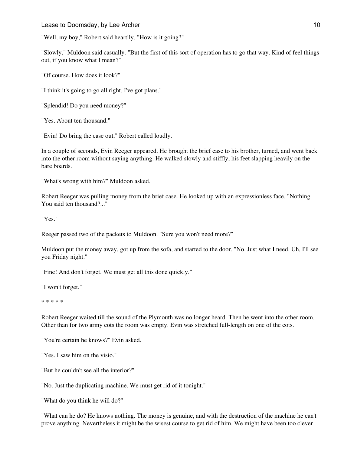Lease to Doomsday, by Lee Archer 10 and 10 and 10 and 10 and 10 and 10 and 10 and 10 and 10 and 10 and 10 and 10 and 10 and 10 and 10 and 10 and 10 and 10 and 10 and 10 and 10 and 10 and 10 and 10 and 10 and 10 and 10 and

"Well, my boy," Robert said heartily. "How is it going?"

"Slowly," Muldoon said casually. "But the first of this sort of operation has to go that way. Kind of feel things out, if you know what I mean?"

"Of course. How does it look?"

"I think it's going to go all right. I've got plans."

"Splendid! Do you need money?"

"Yes. About ten thousand."

"Evin! Do bring the case out," Robert called loudly.

In a couple of seconds, Evin Reeger appeared. He brought the brief case to his brother, turned, and went back into the other room without saying anything. He walked slowly and stiffly, his feet slapping heavily on the bare boards.

"What's wrong with him?" Muldoon asked.

Robert Reeger was pulling money from the brief case. He looked up with an expressionless face. "Nothing. You said ten thousand?..."

"Yes."

Reeger passed two of the packets to Muldoon. "Sure you won't need more?"

Muldoon put the money away, got up from the sofa, and started to the door. "No. Just what I need. Uh, I'll see you Friday night."

"Fine! And don't forget. We must get all this done quickly."

"I won't forget."

\* \* \* \* \*

Robert Reeger waited till the sound of the Plymouth was no longer heard. Then he went into the other room. Other than for two army cots the room was empty. Evin was stretched full-length on one of the cots.

"You're certain he knows?" Evin asked.

"Yes. I saw him on the visio."

"But he couldn't see all the interior?"

"No. Just the duplicating machine. We must get rid of it tonight."

"What do you think he will do?"

"What can he do? He knows nothing. The money is genuine, and with the destruction of the machine he can't prove anything. Nevertheless it might be the wisest course to get rid of him. We might have been too clever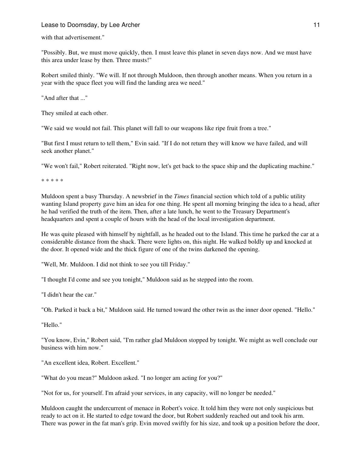## Lease to Doomsday, by Lee Archer 11 and the state of the state 11 and 11 and 11 and 11 and 11 and 11 and 11 and 11 and 11 and 11 and 11 and 11 and 11 and 11 and 11 and 11 and 11 and 11 and 11 and 11 and 12 and 12 and 12 an

with that advertisement."

"Possibly. But, we must move quickly, then. I must leave this planet in seven days now. And we must have this area under lease by then. Three musts!"

Robert smiled thinly. "We will. If not through Muldoon, then through another means. When you return in a year with the space fleet you will find the landing area we need."

"And after that ..."

They smiled at each other.

"We said we would not fail. This planet will fall to our weapons like ripe fruit from a tree."

"But first I must return to tell them," Evin said. "If I do not return they will know we have failed, and will seek another planet."

"We won't fail," Robert reiterated. "Right now, let's get back to the space ship and the duplicating machine."

\* \* \* \* \*

Muldoon spent a busy Thursday. A newsbrief in the *Times* financial section which told of a public utility wanting Island property gave him an idea for one thing. He spent all morning bringing the idea to a head, after he had verified the truth of the item. Then, after a late lunch, he went to the Treasury Department's headquarters and spent a couple of hours with the head of the local investigation department.

He was quite pleased with himself by nightfall, as he headed out to the Island. This time he parked the car at a considerable distance from the shack. There were lights on, this night. He walked boldly up and knocked at the door. It opened wide and the thick figure of one of the twins darkened the opening.

"Well, Mr. Muldoon. I did not think to see you till Friday."

"I thought I'd come and see you tonight," Muldoon said as he stepped into the room.

"I didn't hear the car."

"Oh. Parked it back a bit," Muldoon said. He turned toward the other twin as the inner door opened. "Hello."

"Hello."

"You know, Evin," Robert said, "I'm rather glad Muldoon stopped by tonight. We might as well conclude our business with him now."

"An excellent idea, Robert. Excellent."

"What do you mean?" Muldoon asked. "I no longer am acting for you?"

"Not for us, for yourself. I'm afraid your services, in any capacity, will no longer be needed."

Muldoon caught the undercurrent of menace in Robert's voice. It told him they were not only suspicious but ready to act on it. He started to edge toward the door, but Robert suddenly reached out and took his arm. There was power in the fat man's grip. Evin moved swiftly for his size, and took up a position before the door,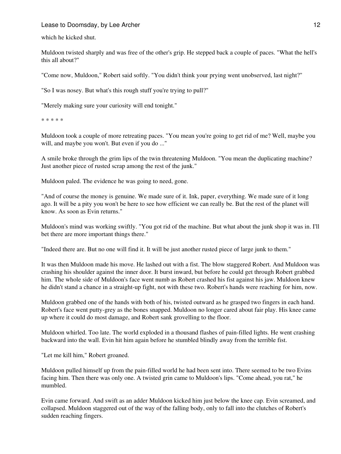which he kicked shut.

Muldoon twisted sharply and was free of the other's grip. He stepped back a couple of paces. "What the hell's this all about?"

"Come now, Muldoon," Robert said softly. "You didn't think your prying went unobserved, last night?"

"So I was nosey. But what's this rough stuff you're trying to pull?"

"Merely making sure your curiosity will end tonight."

\* \* \* \* \*

Muldoon took a couple of more retreating paces. "You mean you're going to get rid of me? Well, maybe you will, and maybe you won't. But even if you do ..."

A smile broke through the grim lips of the twin threatening Muldoon. "You mean the duplicating machine? Just another piece of rusted scrap among the rest of the junk."

Muldoon paled. The evidence he was going to need, gone.

"And of course the money is genuine. We made sure of it. Ink, paper, everything. We made sure of it long ago. It will be a pity you won't be here to see how efficient we can really be. But the rest of the planet will know. As soon as Evin returns."

Muldoon's mind was working swiftly. "You got rid of the machine. But what about the junk shop it was in. I'll bet there are more important things there."

"Indeed there are. But no one will find it. It will be just another rusted piece of large junk to them."

It was then Muldoon made his move. He lashed out with a fist. The blow staggered Robert. And Muldoon was crashing his shoulder against the inner door. It burst inward, but before he could get through Robert grabbed him. The whole side of Muldoon's face went numb as Robert crashed his fist against his jaw. Muldoon knew he didn't stand a chance in a straight-up fight, not with these two. Robert's hands were reaching for him, now.

Muldoon grabbed one of the hands with both of his, twisted outward as he grasped two fingers in each hand. Robert's face went putty-grey as the bones snapped. Muldoon no longer cared about fair play. His knee came up where it could do most damage, and Robert sank grovelling to the floor.

Muldoon whirled. Too late. The world exploded in a thousand flashes of pain-filled lights. He went crashing backward into the wall. Evin hit him again before he stumbled blindly away from the terrible fist.

"Let me kill him," Robert groaned.

Muldoon pulled himself up from the pain-filled world he had been sent into. There seemed to be two Evins facing him. Then there was only one. A twisted grin came to Muldoon's lips. "Come ahead, you rat," he mumbled.

Evin came forward. And swift as an adder Muldoon kicked him just below the knee cap. Evin screamed, and collapsed. Muldoon staggered out of the way of the falling body, only to fall into the clutches of Robert's sudden reaching fingers.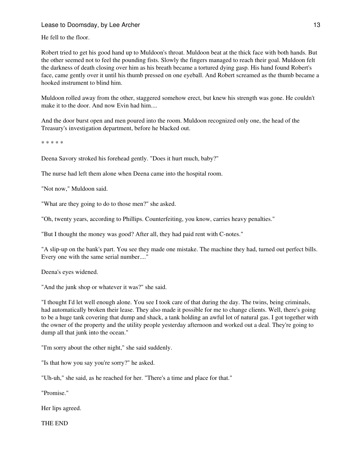He fell to the floor.

Robert tried to get his good hand up to Muldoon's throat. Muldoon beat at the thick face with both hands. But the other seemed not to feel the pounding fists. Slowly the fingers managed to reach their goal. Muldoon felt the darkness of death closing over him as his breath became a tortured dying gasp. His hand found Robert's face, came gently over it until his thumb pressed on one eyeball. And Robert screamed as the thumb became a hooked instrument to blind him.

Muldoon rolled away from the other, staggered somehow erect, but knew his strength was gone. He couldn't make it to the door. And now Evin had him....

And the door burst open and men poured into the room. Muldoon recognized only one, the head of the Treasury's investigation department, before he blacked out.

\* \* \* \* \*

Deena Savory stroked his forehead gently. "Does it hurt much, baby?"

The nurse had left them alone when Deena came into the hospital room.

"Not now," Muldoon said.

"What are they going to do to those men?" she asked.

"Oh, twenty years, according to Phillips. Counterfeiting, you know, carries heavy penalties."

"But I thought the money was good? After all, they had paid rent with C-notes."

"A slip-up on the bank's part. You see they made one mistake. The machine they had, turned out perfect bills. Every one with the same serial number...."

Deena's eyes widened.

"And the junk shop or whatever it was?" she said.

"I thought I'd let well enough alone. You see I took care of that during the day. The twins, being criminals, had automatically broken their lease. They also made it possible for me to change clients. Well, there's going to be a huge tank covering that dump and shack, a tank holding an awful lot of natural gas. I got together with the owner of the property and the utility people yesterday afternoon and worked out a deal. They're going to dump all that junk into the ocean."

"I'm sorry about the other night," she said suddenly.

"Is that how you say you're sorry?" he asked.

"Uh-uh," she said, as he reached for her. "There's a time and place for that."

"Promise."

Her lips agreed.

THE END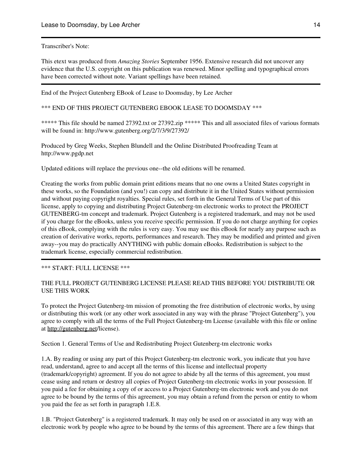Transcriber's Note:

This etext was produced from *Amazing Stories* September 1956. Extensive research did not uncover any evidence that the U.S. copyright on this publication was renewed. Minor spelling and typographical errors have been corrected without note. Variant spellings have been retained.

End of the Project Gutenberg EBook of Lease to Doomsday, by Lee Archer

\*\*\* END OF THIS PROJECT GUTENBERG EBOOK LEASE TO DOOMSDAY \*\*\*

\*\*\*\*\* This file should be named 27392.txt or 27392.zip \*\*\*\*\* This and all associated files of various formats will be found in: http://www.gutenberg.org/2/7/3/9/27392/

Produced by Greg Weeks, Stephen Blundell and the Online Distributed Proofreading Team at http://www.pgdp.net

Updated editions will replace the previous one--the old editions will be renamed.

Creating the works from public domain print editions means that no one owns a United States copyright in these works, so the Foundation (and you!) can copy and distribute it in the United States without permission and without paying copyright royalties. Special rules, set forth in the General Terms of Use part of this license, apply to copying and distributing Project Gutenberg-tm electronic works to protect the PROJECT GUTENBERG-tm concept and trademark. Project Gutenberg is a registered trademark, and may not be used if you charge for the eBooks, unless you receive specific permission. If you do not charge anything for copies of this eBook, complying with the rules is very easy. You may use this eBook for nearly any purpose such as creation of derivative works, reports, performances and research. They may be modified and printed and given away--you may do practically ANYTHING with public domain eBooks. Redistribution is subject to the trademark license, especially commercial redistribution.

\*\*\* START: FULL LICENSE \*\*\*

# THE FULL PROJECT GUTENBERG LICENSE PLEASE READ THIS BEFORE YOU DISTRIBUTE OR USE THIS WORK

To protect the Project Gutenberg-tm mission of promoting the free distribution of electronic works, by using or distributing this work (or any other work associated in any way with the phrase "Project Gutenberg"), you agree to comply with all the terms of the Full Project Gutenberg-tm License (available with this file or online at <http://gutenberg.net>/license).

Section 1. General Terms of Use and Redistributing Project Gutenberg-tm electronic works

1.A. By reading or using any part of this Project Gutenberg-tm electronic work, you indicate that you have read, understand, agree to and accept all the terms of this license and intellectual property (trademark/copyright) agreement. If you do not agree to abide by all the terms of this agreement, you must cease using and return or destroy all copies of Project Gutenberg-tm electronic works in your possession. If you paid a fee for obtaining a copy of or access to a Project Gutenberg-tm electronic work and you do not agree to be bound by the terms of this agreement, you may obtain a refund from the person or entity to whom you paid the fee as set forth in paragraph 1.E.8.

1.B. "Project Gutenberg" is a registered trademark. It may only be used on or associated in any way with an electronic work by people who agree to be bound by the terms of this agreement. There are a few things that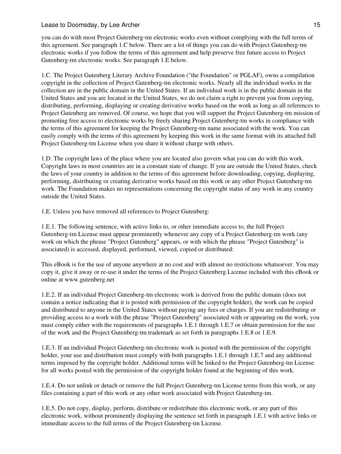you can do with most Project Gutenberg-tm electronic works even without complying with the full terms of this agreement. See paragraph 1.C below. There are a lot of things you can do with Project Gutenberg-tm electronic works if you follow the terms of this agreement and help preserve free future access to Project Gutenberg-tm electronic works. See paragraph 1.E below.

1.C. The Project Gutenberg Literary Archive Foundation ("the Foundation" or PGLAF), owns a compilation copyright in the collection of Project Gutenberg-tm electronic works. Nearly all the individual works in the collection are in the public domain in the United States. If an individual work is in the public domain in the United States and you are located in the United States, we do not claim a right to prevent you from copying, distributing, performing, displaying or creating derivative works based on the work as long as all references to Project Gutenberg are removed. Of course, we hope that you will support the Project Gutenberg-tm mission of promoting free access to electronic works by freely sharing Project Gutenberg-tm works in compliance with the terms of this agreement for keeping the Project Gutenberg-tm name associated with the work. You can easily comply with the terms of this agreement by keeping this work in the same format with its attached full Project Gutenberg-tm License when you share it without charge with others.

1.D. The copyright laws of the place where you are located also govern what you can do with this work. Copyright laws in most countries are in a constant state of change. If you are outside the United States, check the laws of your country in addition to the terms of this agreement before downloading, copying, displaying, performing, distributing or creating derivative works based on this work or any other Project Gutenberg-tm work. The Foundation makes no representations concerning the copyright status of any work in any country outside the United States.

1.E. Unless you have removed all references to Project Gutenberg:

1.E.1. The following sentence, with active links to, or other immediate access to, the full Project Gutenberg-tm License must appear prominently whenever any copy of a Project Gutenberg-tm work (any work on which the phrase "Project Gutenberg" appears, or with which the phrase "Project Gutenberg" is associated) is accessed, displayed, performed, viewed, copied or distributed:

This eBook is for the use of anyone anywhere at no cost and with almost no restrictions whatsoever. You may copy it, give it away or re-use it under the terms of the Project Gutenberg License included with this eBook or online at www.gutenberg.net

1.E.2. If an individual Project Gutenberg-tm electronic work is derived from the public domain (does not contain a notice indicating that it is posted with permission of the copyright holder), the work can be copied and distributed to anyone in the United States without paying any fees or charges. If you are redistributing or providing access to a work with the phrase "Project Gutenberg" associated with or appearing on the work, you must comply either with the requirements of paragraphs 1.E.1 through 1.E.7 or obtain permission for the use of the work and the Project Gutenberg-tm trademark as set forth in paragraphs 1.E.8 or 1.E.9.

1.E.3. If an individual Project Gutenberg-tm electronic work is posted with the permission of the copyright holder, your use and distribution must comply with both paragraphs 1.E.1 through 1.E.7 and any additional terms imposed by the copyright holder. Additional terms will be linked to the Project Gutenberg-tm License for all works posted with the permission of the copyright holder found at the beginning of this work.

1.E.4. Do not unlink or detach or remove the full Project Gutenberg-tm License terms from this work, or any files containing a part of this work or any other work associated with Project Gutenberg-tm.

1.E.5. Do not copy, display, perform, distribute or redistribute this electronic work, or any part of this electronic work, without prominently displaying the sentence set forth in paragraph 1.E.1 with active links or immediate access to the full terms of the Project Gutenberg-tm License.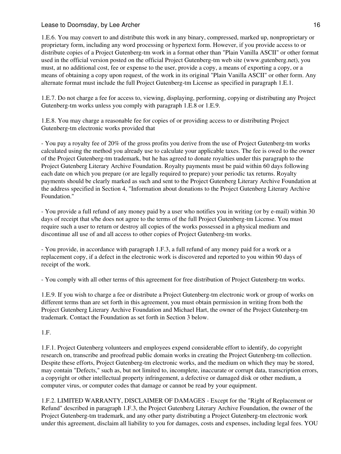# Lease to Doomsday, by Lee Archer 16 and 16 and 16 and 16 and 16 and 16 and 16 and 16 and 16 and 16 and 16 and 16 and 16 and 16 and 16 and 16 and 16 and 16 and 16 and 16 and 16 and 16 and 16 and 16 and 16 and 16 and 16 and

1.E.6. You may convert to and distribute this work in any binary, compressed, marked up, nonproprietary or proprietary form, including any word processing or hypertext form. However, if you provide access to or distribute copies of a Project Gutenberg-tm work in a format other than "Plain Vanilla ASCII" or other format used in the official version posted on the official Project Gutenberg-tm web site (www.gutenberg.net), you must, at no additional cost, fee or expense to the user, provide a copy, a means of exporting a copy, or a means of obtaining a copy upon request, of the work in its original "Plain Vanilla ASCII" or other form. Any alternate format must include the full Project Gutenberg-tm License as specified in paragraph 1.E.1.

1.E.7. Do not charge a fee for access to, viewing, displaying, performing, copying or distributing any Project Gutenberg-tm works unless you comply with paragraph 1.E.8 or 1.E.9.

1.E.8. You may charge a reasonable fee for copies of or providing access to or distributing Project Gutenberg-tm electronic works provided that

- You pay a royalty fee of 20% of the gross profits you derive from the use of Project Gutenberg-tm works calculated using the method you already use to calculate your applicable taxes. The fee is owed to the owner of the Project Gutenberg-tm trademark, but he has agreed to donate royalties under this paragraph to the Project Gutenberg Literary Archive Foundation. Royalty payments must be paid within 60 days following each date on which you prepare (or are legally required to prepare) your periodic tax returns. Royalty payments should be clearly marked as such and sent to the Project Gutenberg Literary Archive Foundation at the address specified in Section 4, "Information about donations to the Project Gutenberg Literary Archive Foundation."

- You provide a full refund of any money paid by a user who notifies you in writing (or by e-mail) within 30 days of receipt that s/he does not agree to the terms of the full Project Gutenberg-tm License. You must require such a user to return or destroy all copies of the works possessed in a physical medium and discontinue all use of and all access to other copies of Project Gutenberg-tm works.

- You provide, in accordance with paragraph 1.F.3, a full refund of any money paid for a work or a replacement copy, if a defect in the electronic work is discovered and reported to you within 90 days of receipt of the work.

- You comply with all other terms of this agreement for free distribution of Project Gutenberg-tm works.

1.E.9. If you wish to charge a fee or distribute a Project Gutenberg-tm electronic work or group of works on different terms than are set forth in this agreement, you must obtain permission in writing from both the Project Gutenberg Literary Archive Foundation and Michael Hart, the owner of the Project Gutenberg-tm trademark. Contact the Foundation as set forth in Section 3 below.

## 1.F.

1.F.1. Project Gutenberg volunteers and employees expend considerable effort to identify, do copyright research on, transcribe and proofread public domain works in creating the Project Gutenberg-tm collection. Despite these efforts, Project Gutenberg-tm electronic works, and the medium on which they may be stored, may contain "Defects," such as, but not limited to, incomplete, inaccurate or corrupt data, transcription errors, a copyright or other intellectual property infringement, a defective or damaged disk or other medium, a computer virus, or computer codes that damage or cannot be read by your equipment.

1.F.2. LIMITED WARRANTY, DISCLAIMER OF DAMAGES - Except for the "Right of Replacement or Refund" described in paragraph 1.F.3, the Project Gutenberg Literary Archive Foundation, the owner of the Project Gutenberg-tm trademark, and any other party distributing a Project Gutenberg-tm electronic work under this agreement, disclaim all liability to you for damages, costs and expenses, including legal fees. YOU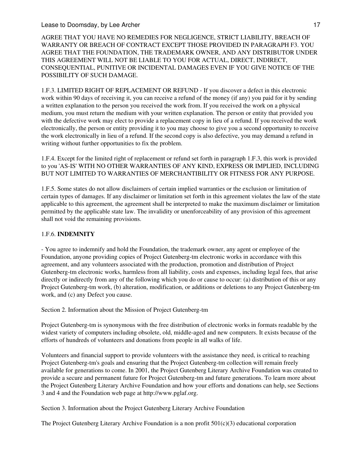## Lease to Doomsday, by Lee Archer 17 and 17 and 17 and 17 and 17 and 17 and 17 and 17 and 17 and 17 and 17 and 17

AGREE THAT YOU HAVE NO REMEDIES FOR NEGLIGENCE, STRICT LIABILITY, BREACH OF WARRANTY OR BREACH OF CONTRACT EXCEPT THOSE PROVIDED IN PARAGRAPH F3. YOU AGREE THAT THE FOUNDATION, THE TRADEMARK OWNER, AND ANY DISTRIBUTOR UNDER THIS AGREEMENT WILL NOT BE LIABLE TO YOU FOR ACTUAL, DIRECT, INDIRECT, CONSEQUENTIAL, PUNITIVE OR INCIDENTAL DAMAGES EVEN IF YOU GIVE NOTICE OF THE POSSIBILITY OF SUCH DAMAGE.

1.F.3. LIMITED RIGHT OF REPLACEMENT OR REFUND - If you discover a defect in this electronic work within 90 days of receiving it, you can receive a refund of the money (if any) you paid for it by sending a written explanation to the person you received the work from. If you received the work on a physical medium, you must return the medium with your written explanation. The person or entity that provided you with the defective work may elect to provide a replacement copy in lieu of a refund. If you received the work electronically, the person or entity providing it to you may choose to give you a second opportunity to receive the work electronically in lieu of a refund. If the second copy is also defective, you may demand a refund in writing without further opportunities to fix the problem.

1.F.4. Except for the limited right of replacement or refund set forth in paragraph 1.F.3, this work is provided to you 'AS-IS' WITH NO OTHER WARRANTIES OF ANY KIND, EXPRESS OR IMPLIED, INCLUDING BUT NOT LIMITED TO WARRANTIES OF MERCHANTIBILITY OR FITNESS FOR ANY PURPOSE.

1.F.5. Some states do not allow disclaimers of certain implied warranties or the exclusion or limitation of certain types of damages. If any disclaimer or limitation set forth in this agreement violates the law of the state applicable to this agreement, the agreement shall be interpreted to make the maximum disclaimer or limitation permitted by the applicable state law. The invalidity or unenforceability of any provision of this agreement shall not void the remaining provisions.

## 1.F.6. **INDEMNITY**

- You agree to indemnify and hold the Foundation, the trademark owner, any agent or employee of the Foundation, anyone providing copies of Project Gutenberg-tm electronic works in accordance with this agreement, and any volunteers associated with the production, promotion and distribution of Project Gutenberg-tm electronic works, harmless from all liability, costs and expenses, including legal fees, that arise directly or indirectly from any of the following which you do or cause to occur: (a) distribution of this or any Project Gutenberg-tm work, (b) alteration, modification, or additions or deletions to any Project Gutenberg-tm work, and (c) any Defect you cause.

Section 2. Information about the Mission of Project Gutenberg-tm

Project Gutenberg-tm is synonymous with the free distribution of electronic works in formats readable by the widest variety of computers including obsolete, old, middle-aged and new computers. It exists because of the efforts of hundreds of volunteers and donations from people in all walks of life.

Volunteers and financial support to provide volunteers with the assistance they need, is critical to reaching Project Gutenberg-tm's goals and ensuring that the Project Gutenberg-tm collection will remain freely available for generations to come. In 2001, the Project Gutenberg Literary Archive Foundation was created to provide a secure and permanent future for Project Gutenberg-tm and future generations. To learn more about the Project Gutenberg Literary Archive Foundation and how your efforts and donations can help, see Sections 3 and 4 and the Foundation web page at http://www.pglaf.org.

Section 3. Information about the Project Gutenberg Literary Archive Foundation

The Project Gutenberg Literary Archive Foundation is a non profit  $501(c)(3)$  educational corporation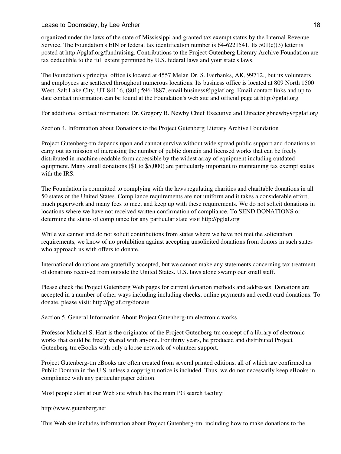organized under the laws of the state of Mississippi and granted tax exempt status by the Internal Revenue Service. The Foundation's EIN or federal tax identification number is  $64-6221541$ . Its  $501(c)(3)$  letter is posted at http://pglaf.org/fundraising. Contributions to the Project Gutenberg Literary Archive Foundation are tax deductible to the full extent permitted by U.S. federal laws and your state's laws.

The Foundation's principal office is located at 4557 Melan Dr. S. Fairbanks, AK, 99712., but its volunteers and employees are scattered throughout numerous locations. Its business office is located at 809 North 1500 West, Salt Lake City, UT 84116, (801) 596-1887, email business@pglaf.org. Email contact links and up to date contact information can be found at the Foundation's web site and official page at http://pglaf.org

For additional contact information: Dr. Gregory B. Newby Chief Executive and Director gbnewby@pglaf.org

Section 4. Information about Donations to the Project Gutenberg Literary Archive Foundation

Project Gutenberg-tm depends upon and cannot survive without wide spread public support and donations to carry out its mission of increasing the number of public domain and licensed works that can be freely distributed in machine readable form accessible by the widest array of equipment including outdated equipment. Many small donations (\$1 to \$5,000) are particularly important to maintaining tax exempt status with the IRS.

The Foundation is committed to complying with the laws regulating charities and charitable donations in all 50 states of the United States. Compliance requirements are not uniform and it takes a considerable effort, much paperwork and many fees to meet and keep up with these requirements. We do not solicit donations in locations where we have not received written confirmation of compliance. To SEND DONATIONS or determine the status of compliance for any particular state visit http://pglaf.org

While we cannot and do not solicit contributions from states where we have not met the solicitation requirements, we know of no prohibition against accepting unsolicited donations from donors in such states who approach us with offers to donate.

International donations are gratefully accepted, but we cannot make any statements concerning tax treatment of donations received from outside the United States. U.S. laws alone swamp our small staff.

Please check the Project Gutenberg Web pages for current donation methods and addresses. Donations are accepted in a number of other ways including including checks, online payments and credit card donations. To donate, please visit: http://pglaf.org/donate

Section 5. General Information About Project Gutenberg-tm electronic works.

Professor Michael S. Hart is the originator of the Project Gutenberg-tm concept of a library of electronic works that could be freely shared with anyone. For thirty years, he produced and distributed Project Gutenberg-tm eBooks with only a loose network of volunteer support.

Project Gutenberg-tm eBooks are often created from several printed editions, all of which are confirmed as Public Domain in the U.S. unless a copyright notice is included. Thus, we do not necessarily keep eBooks in compliance with any particular paper edition.

Most people start at our Web site which has the main PG search facility:

http://www.gutenberg.net

This Web site includes information about Project Gutenberg-tm, including how to make donations to the